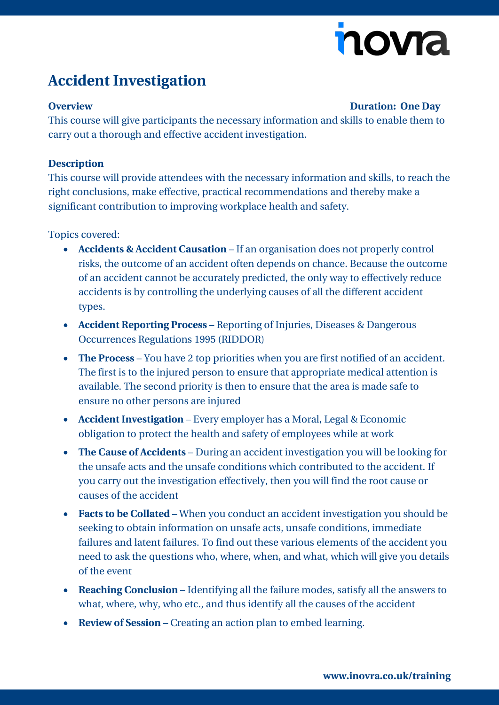# novia

## **Accident Investigation**

#### **Overview Duration: One Day**

This course will give participants the necessary information and skills to enable them to carry out a thorough and effective accident investigation.

#### **Description**

This course will provide attendees with the necessary information and skills, to reach the right conclusions, make effective, practical recommendations and thereby make a significant contribution to improving workplace health and safety.

Topics covered:

- **Accidents & Accident Causation** If an organisation does not properly control risks, the outcome of an accident often depends on chance. Because the outcome of an accident cannot be accurately predicted, the only way to effectively reduce accidents is by controlling the underlying causes of all the different accident types.
- **Accident Reporting Process** Reporting of Injuries, Diseases & Dangerous Occurrences Regulations 1995 (RIDDOR)
- **The Process** You have 2 top priorities when you are first notified of an accident. The first is to the injured person to ensure that appropriate medical attention is available. The second priority is then to ensure that the area is made safe to ensure no other persons are injured
- **Accident Investigation** Every employer has a Moral, Legal & Economic obligation to protect the health and safety of employees while at work
- **The Cause of Accidents** During an accident investigation you will be looking for the unsafe acts and the unsafe conditions which contributed to the accident. If you carry out the investigation effectively, then you will find the root cause or causes of the accident
- **Facts to be Collated** When you conduct an accident investigation you should be seeking to obtain information on unsafe acts, unsafe conditions, immediate failures and latent failures. To find out these various elements of the accident you need to ask the questions who, where, when, and what, which will give you details of the event
- **Reaching Conclusion** Identifying all the failure modes, satisfy all the answers to what, where, why, who etc., and thus identify all the causes of the accident
- **Review of Session** Creating an action plan to embed learning.